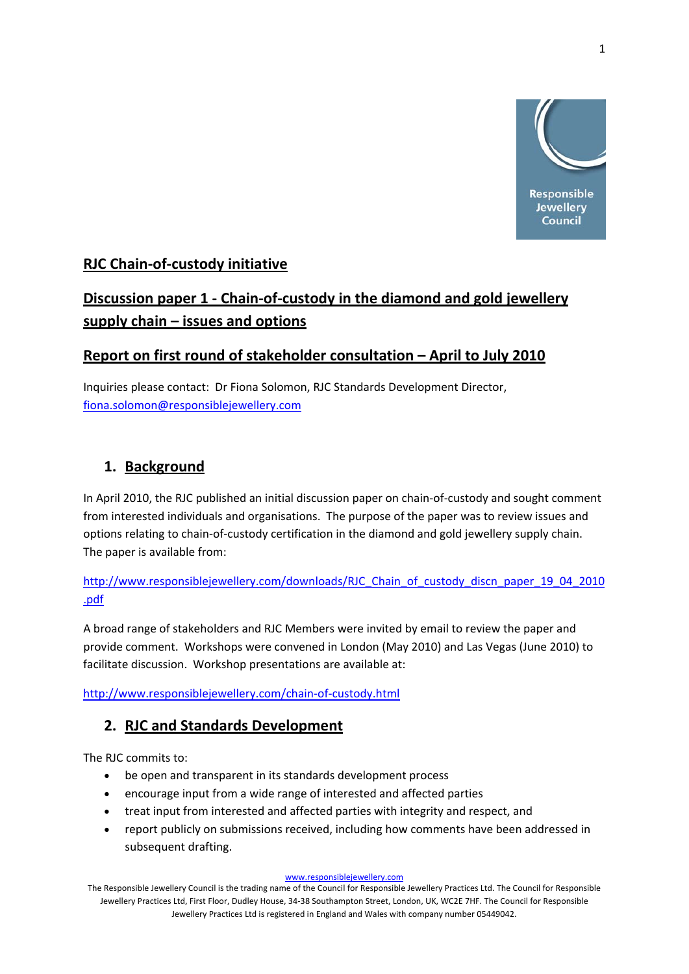

## **RJC Chain‐of‐custody initiative**

# **Discussion paper 1 ‐ Chain‐of‐custody in the diamond and gold jewellery supply chain – issues and options**

### **Report on first round of stakeholder consultation – April to July 2010**

Inquiries please contact: Dr Fiona Solomon, RJC Standards Development Director, fiona.solomon@responsiblejewellery.com

## **1. Background**

In April 2010, the RJC published an initial discussion paper on chain-of-custody and sought comment from interested individuals and organisations. The purpose of the paper was to review issues and options relating to chain‐of‐custody certification in the diamond and gold jewellery supply chain. The paper is available from:

http://www.responsiblejewellery.com/downloads/RJC\_Chain\_of\_custody\_discn\_paper\_19\_04\_2010 .pdf

A broad range of stakeholders and RJC Members were invited by email to review the paper and provide comment. Workshops were convened in London (May 2010) and Las Vegas (June 2010) to facilitate discussion. Workshop presentations are available at:

http://www.responsiblejewellery.com/chain‐of‐custody.html

### **2. RJC and Standards Development**

The RJC commits to:

- be open and transparent in its standards development process
- encourage input from a wide range of interested and affected parties
- treat input from interested and affected parties with integrity and respect, and
- report publicly on submissions received, including how comments have been addressed in subsequent drafting.

#### www.responsiblejewellery.com

The Responsible Jewellery Council is the trading name of the Council for Responsible Jewellery Practices Ltd. The Council for Responsible Jewellery Practices Ltd, First Floor, Dudley House, 34‐38 Southampton Street, London, UK, WC2E 7HF. The Council for Responsible Jewellery Practices Ltd is registered in England and Wales with company number 05449042.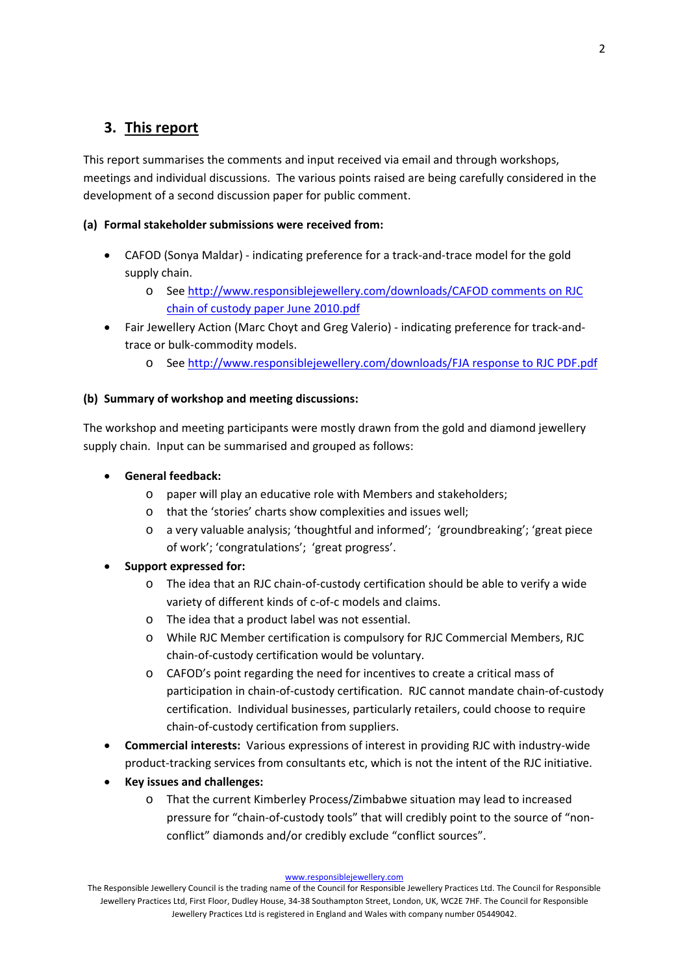## **3. This report**

This report summarises the comments and input received via email and through workshops, meetings and individual discussions. The various points raised are being carefully considered in the development of a second discussion paper for public comment.

### **(a) Formal stakeholder submissions were received from:**

- CAFOD (Sonya Maldar) indicating preference for a track-and-trace model for the gold supply chain.
	- o See http://www.responsiblejewellery.com/downloads/CAFOD comments on RJC chain of custody paper June 2010.pdf
- Fair Jewellery Action (Marc Choyt and Greg Valerio) indicating preference for track-andtrace or bulk‐commodity models.
	- o See http://www.responsiblejewellery.com/downloads/FJA response to RJC PDF.pdf

### **(b) Summary of workshop and meeting discussions:**

The workshop and meeting participants were mostly drawn from the gold and diamond jewellery supply chain. Input can be summarised and grouped as follows:

- **General feedback:** 
	- o paper will play an educative role with Members and stakeholders;
	- o that the 'stories' charts show complexities and issues well;
	- o a very valuable analysis; 'thoughtful and informed'; 'groundbreaking'; 'great piece of work'; 'congratulations'; 'great progress'.

### • **Support expressed for:**

- o The idea that an RJC chain‐of‐custody certification should be able to verify a wide variety of different kinds of c-of-c models and claims.
- o The idea that a product label was not essential.
- o While RJC Member certification is compulsory for RJC Commercial Members, RJC chain‐of‐custody certification would be voluntary.
- o CAFOD's point regarding the need for incentives to create a critical mass of participation in chain‐of‐custody certification. RJC cannot mandate chain‐of‐custody certification. Individual businesses, particularly retailers, could choose to require chain‐of‐custody certification from suppliers.
- **Commercial interests:** Various expressions of interest in providing RJC with industry‐wide product‐tracking services from consultants etc, which is not the intent of the RJC initiative.
- **Key issues and challenges:**
	- o That the current Kimberley Process/Zimbabwe situation may lead to increased pressure for "chain‐of‐custody tools" that will credibly point to the source of "non‐ conflict" diamonds and/or credibly exclude "conflict sources".

www.responsiblejewellery.com

The Responsible Jewellery Council is the trading name of the Council for Responsible Jewellery Practices Ltd. The Council for Responsible Jewellery Practices Ltd, First Floor, Dudley House, 34‐38 Southampton Street, London, UK, WC2E 7HF. The Council for Responsible Jewellery Practices Ltd is registered in England and Wales with company number 05449042.